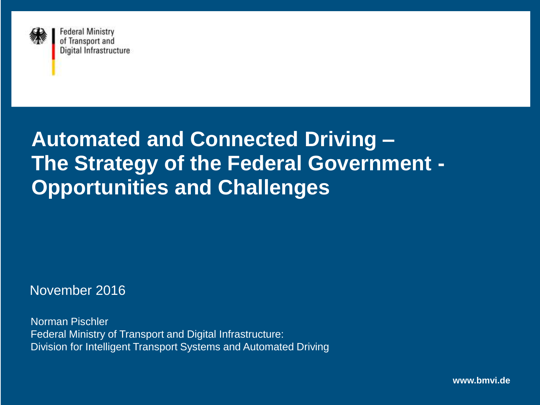

# **Automated and Connected Driving – The Strategy of the Federal Government - Opportunities and Challenges**

November 2016

Norman Pischler Federal Ministry of Transport and Digital Infrastructure: Division for Intelligent Transport Systems and Automated Driving

**www.bmvi.de**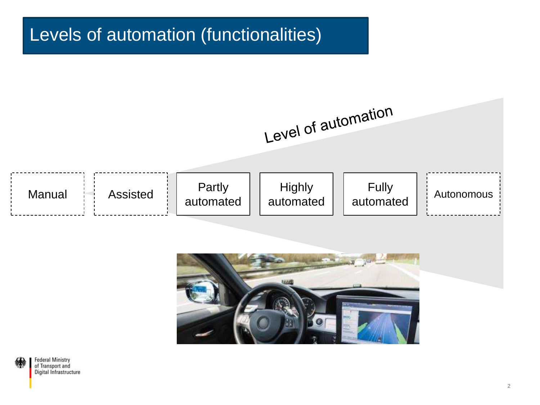### Levels of automation (functionalities)





2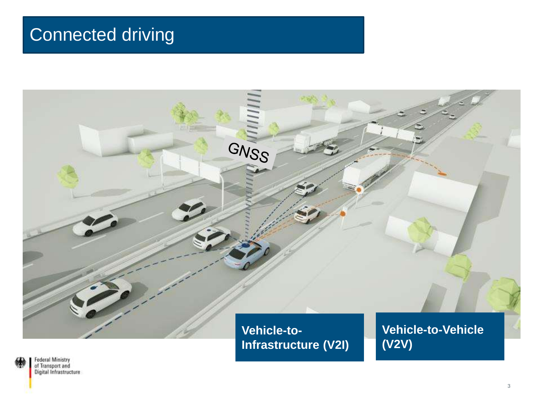## Connected driving

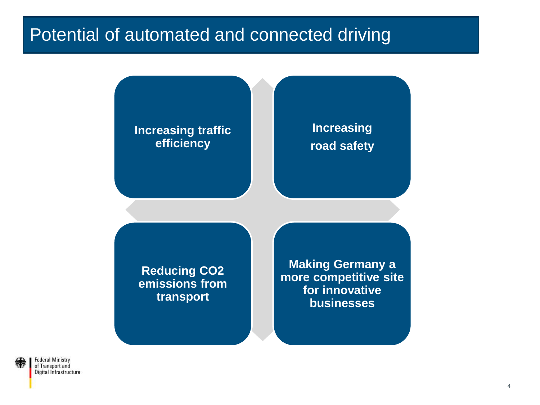### Potential of automated and connected driving

#### **Increasing traffic efficiency**

#### **Increasing road safety**

**Reducing CO2 emissions from transport**

**Making Germany a more competitive site for innovative businesses**

**Federal Ministry** of Transport and Digital Infrastructure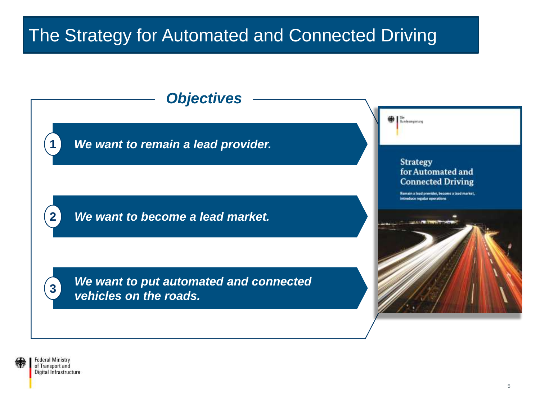## The Strategy for Automated and Connected Driving



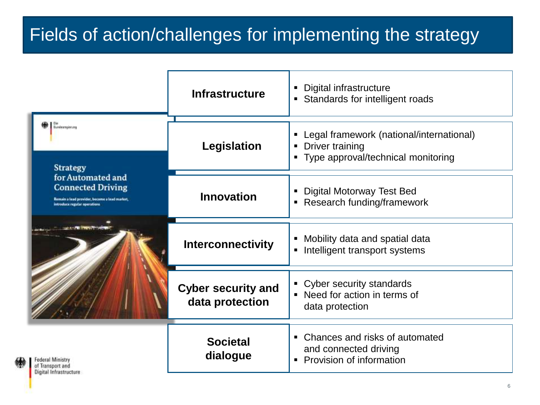## Fields of action/challenges for implementing the strategy

|                                                                                                                                                                   | <b>Infrastructure</b>                        | Digital infrastructure<br>• Standards for intelligent roads                                                                |
|-------------------------------------------------------------------------------------------------------------------------------------------------------------------|----------------------------------------------|----------------------------------------------------------------------------------------------------------------------------|
| Bundesmpioning<br><b>Strategy</b><br>for Automated and<br><b>Connected Driving</b><br>Remain a lead provider, become a baad market,<br>introduce regular operatio | Legislation                                  | Legal framework (national/international)<br>$\blacksquare$<br>Driver training<br>٠<br>• Type approval/technical monitoring |
|                                                                                                                                                                   | <b>Innovation</b>                            | <b>Digital Motorway Test Bed</b><br>$\blacksquare$<br>Research funding/framework<br>$\blacksquare$                         |
|                                                                                                                                                                   | <b>Interconnectivity</b>                     | Mobility data and spatial data<br>٠<br>Intelligent transport systems<br>٠                                                  |
|                                                                                                                                                                   | <b>Cyber security and</b><br>data protection | • Cyber security standards<br>• Need for action in terms of<br>data protection                                             |
| Federal Ministry<br>of Transport and<br>Digital Infrastructure                                                                                                    | <b>Societal</b><br>dialogue                  | • Chances and risks of automated<br>and connected driving<br>Provision of information<br>$\blacksquare$                    |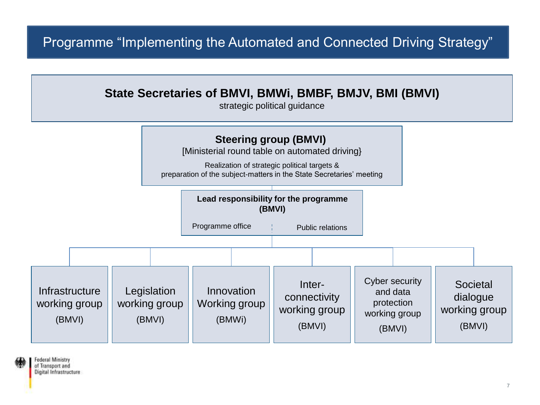#### Programme "Implementing the Automated and Connected Driving Strategy"



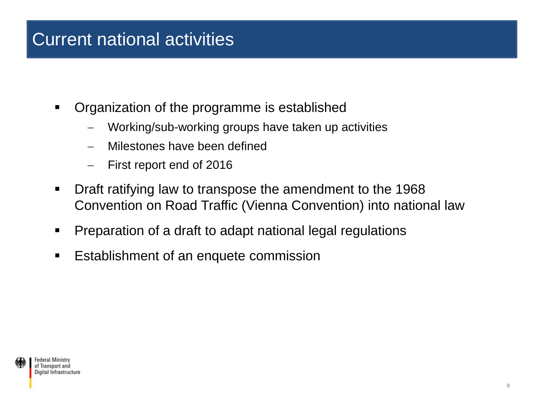### Current national activities

- Organization of the programme is established
	- Working/sub-working groups have taken up activities
	- Milestones have been defined
	- First report end of 2016
- Draft ratifying law to transpose the amendment to the 1968 Convention on Road Traffic (Vienna Convention) into national law
- **Preparation of a draft to adapt national legal regulations**
- Establishment of an enquete commission

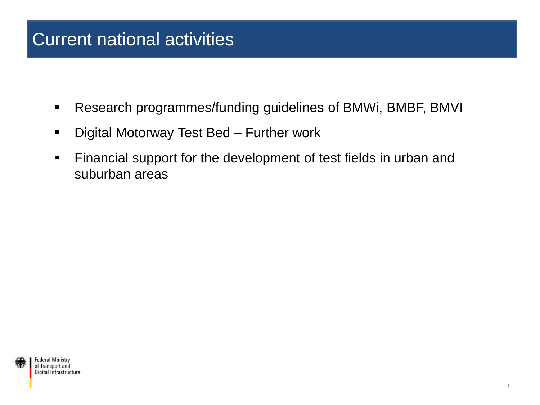### Current national activities

- Research programmes/funding guidelines of BMWi, BMBF, BMVI
- **-** Digital Motorway Test Bed Further work
- **Financial support for the development of test fields in urban and** suburban areas

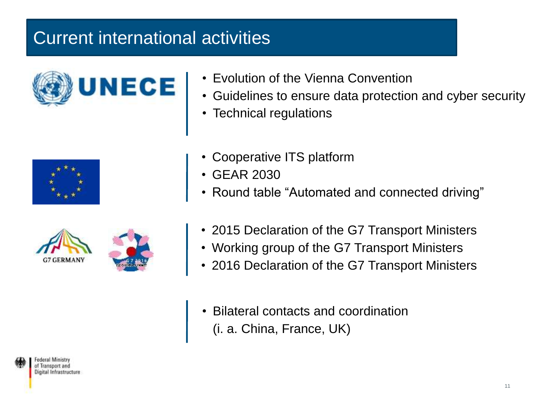### Current international activities





- Guidelines to ensure data protection and cyber security
- Technical regulations





- Cooperative ITS platform
- GEAR 2030
- Round table "Automated and connected driving"
- 2015 Declaration of the G7 Transport Ministers
- Working group of the G7 Transport Ministers
- 2016 Declaration of the G7 Transport Ministers
- Bilateral contacts and coordination (i. a. China, France, UK)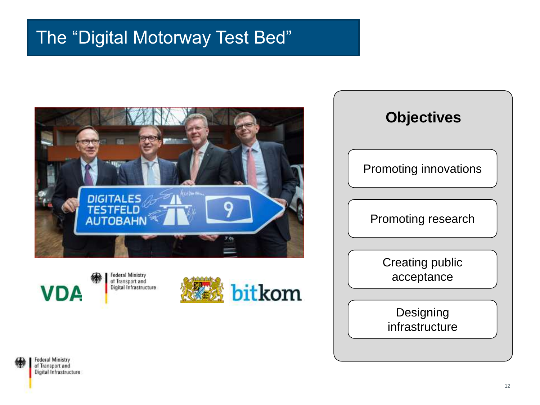



**Federal Ministry** of Transport and Digital Infrastructure





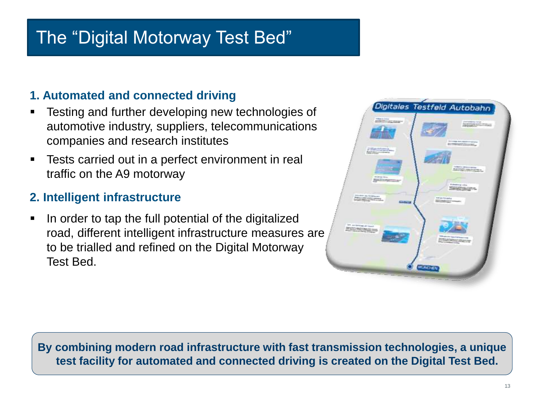### Digital Motorway Testbed **1. Automated and connected driving**<br>**■ Testing and further developing new**

- Testing and further developing new technologies of automotive industry, suppliers, telecommunications companies and research institutes
- Tests carried out in a perfect environment in real traffic on the A9 motorway

#### **2. Intelligent infrastructure**

 $\blacksquare$  In order to tap the full potential of the digitalized road, different intelligent infrastructure measures are to be trialled and refined on the Digital Motorway Test Bed.

|                                                     |                                       | Digitales Testfeld Autobahn                                      |  |
|-----------------------------------------------------|---------------------------------------|------------------------------------------------------------------|--|
|                                                     |                                       |                                                                  |  |
| <b>CREATING</b>                                     |                                       | <b>Installation</b>                                              |  |
|                                                     |                                       |                                                                  |  |
|                                                     |                                       | <b>Screene Art condition and</b><br><b>Commercial Commercial</b> |  |
| <b>COMMUNICATION</b><br><b>Reduction continue</b>   |                                       |                                                                  |  |
|                                                     |                                       |                                                                  |  |
|                                                     |                                       | <b>NEW PRODUCT</b><br><b>Barnet manufacture</b>                  |  |
| that as does<br><b>RESTORES</b>                     |                                       | <b>Substitute city</b>                                           |  |
| <b>STERN ALTOWATE</b>                               |                                       | <b>RESERVATION</b>                                               |  |
| <b>CONTRACTOR</b>                                   | <b>International</b><br><b>Miller</b> |                                                                  |  |
|                                                     |                                       |                                                                  |  |
|                                                     |                                       |                                                                  |  |
| <b>STE conditioned at friend</b><br><b>RECEIVED</b> |                                       |                                                                  |  |
|                                                     |                                       | <b>MADED FIRE</b>                                                |  |
|                                                     |                                       |                                                                  |  |
|                                                     |                                       |                                                                  |  |
|                                                     | <b>MUNICIPALI</b>                     |                                                                  |  |
|                                                     |                                       |                                                                  |  |

**By combining modern road infrastructure with fast transmission technologies, a unique test facility for automated and connected driving is created on the Digital Test Bed.**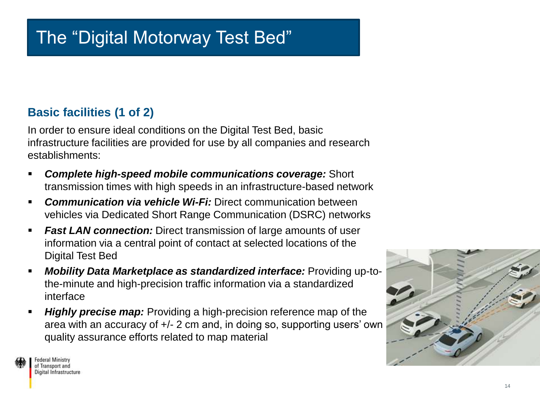#### **Basic facilities (1 of 2)**

In order to ensure ideal conditions on the Digital Test Bed, basic infrastructure facilities are provided for use by all companies and research establishments:

- *Complete high-speed mobile communications coverage:* Short transmission times with high speeds in an infrastructure-based network
- *Communication via vehicle Wi-Fi:* Direct communication between vehicles via Dedicated Short Range Communication (DSRC) networks
- *Fast LAN connection: Direct transmission of large amounts of user* information via a central point of contact at selected locations of the Digital Test Bed
- *Mobility Data Marketplace as standardized interface:* Providing up-tothe-minute and high-precision traffic information via a standardized interface
- *Highly precise map:* Providing a high-precision reference map of the area with an accuracy of +/- 2 cm and, in doing so, supporting users' own quality assurance efforts related to map material



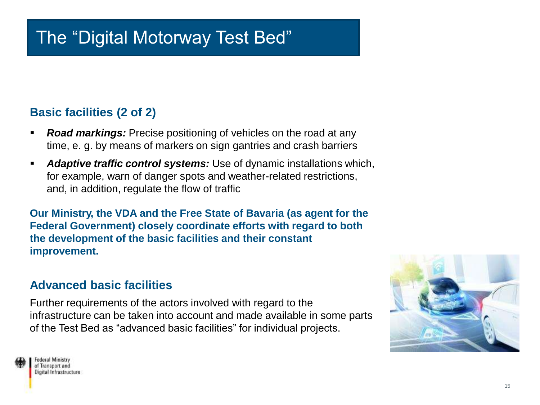#### **Basic facilities (2 of 2)**

- **Road markings:** Precise positioning of vehicles on the road at any time, e. g. by means of markers on sign gantries and crash barriers
- *Adaptive traffic control systems:* Use of dynamic installations which, for example, warn of danger spots and weather-related restrictions, and, in addition, regulate the flow of traffic

**Our Ministry, the VDA and the Free State of Bavaria (as agent for the Federal Government) closely coordinate efforts with regard to both the development of the basic facilities and their constant improvement.**

#### **Advanced basic facilities**

Further requirements of the actors involved with regard to the infrastructure can be taken into account and made available in some parts of the Test Bed as "advanced basic facilities" for individual projects.

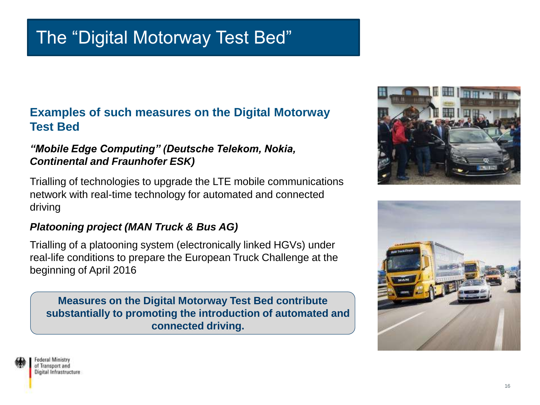#### **Examples of such measures on the Digital Motorway Test Bed**

#### *"Mobile Edge Computing" (Deutsche Telekom, Nokia, Continental and Fraunhofer ESK)*

Trialling of technologies to upgrade the LTE mobile communications network with real-time technology for automated and connected driving

#### *Platooning project (MAN Truck & Bus AG)*

Trialling of a platooning system (electronically linked HGVs) under real-life conditions to prepare the European Truck Challenge at the beginning of April 2016

**Measures on the Digital Motorway Test Bed contribute substantially to promoting the introduction of automated and connected driving.** 



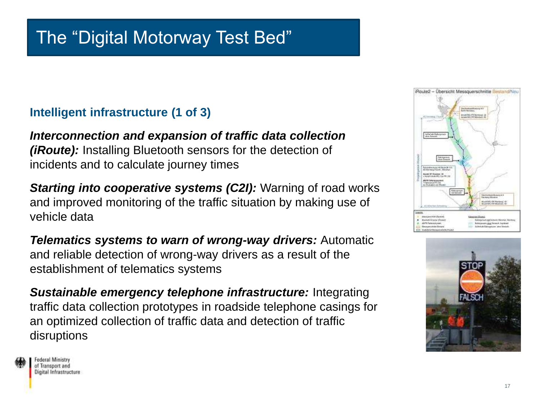#### **Intelligent infrastructure (1 of 3)**

*Interconnection and expansion of traffic data collection (iRoute):* Installing Bluetooth sensors for the detection of incidents and to calculate journey times

*Starting into cooperative systems (C2I):* Warning of road works and improved monitoring of the traffic situation by making use of vehicle data

*Telematics systems to warn of wrong-way drivers:* Automatic and reliable detection of wrong-way drivers as a result of the establishment of telematics systems

*Sustainable emergency telephone infrastructure:* Integrating traffic data collection prototypes in roadside telephone casings for an optimized collection of traffic data and detection of traffic disruptions



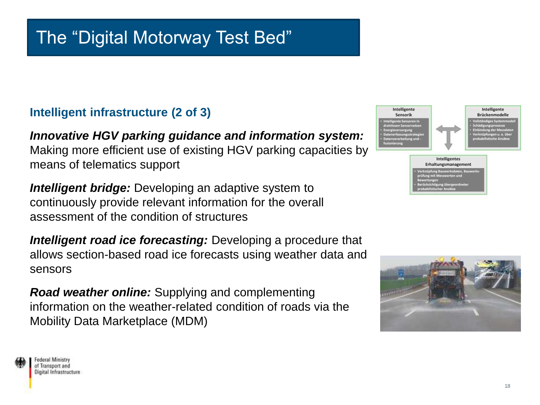#### **Intelligent infrastructure (2 of 3)**

*Innovative HGV parking guidance and information system:*  Making more efficient use of existing HGV parking capacities by means of telematics support

*Intelligent bridge:* Developing an adaptive system to continuously provide relevant information for the overall assessment of the condition of structures

*Intelligent road ice forecasting:* Developing a procedure that allows section-based road ice forecasts using weather data and sensors

*Road weather online:* Supplying and complementing information on the weather-related condition of roads via the Mobility Data Marketplace (MDM)





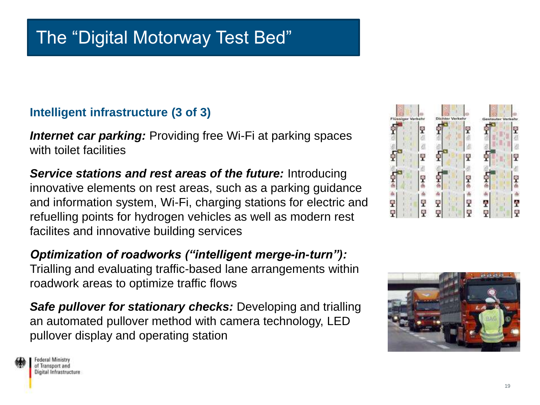#### **Intelligent infrastructure (3 of 3)**

*Internet car parking:* Providing free Wi-Fi at parking spaces with toilet facilities

*Service stations and rest areas of the future:* **Introducing** innovative elements on rest areas, such as a parking guidance and information system, Wi-Fi, charging stations for electric and refuelling points for hydrogen vehicles as well as modern rest facilites and innovative building services

*Optimization of roadworks ("intelligent merge-in-turn"):*  Trialling and evaluating traffic-based lane arrangements within roadwork areas to optimize traffic flows

*Safe pullover for stationary checks:* Developing and trialling an automated pullover method with camera technology, LED pullover display and operating station



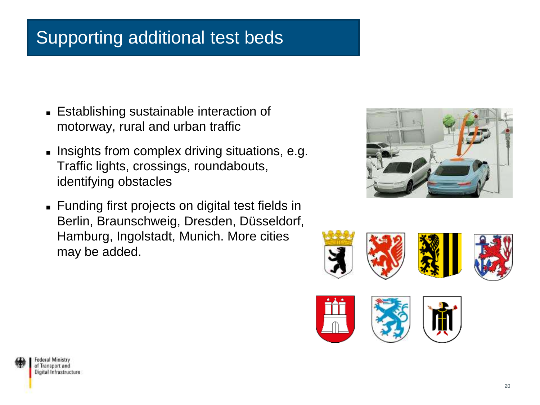## Supporting additional test beds

- Establishing sustainable interaction of motorway, rural and urban traffic
- Insights from complex driving situations, e.g. Traffic lights, crossings, roundabouts, identifying obstacles
- Funding first projects on digital test fields in Berlin, Braunschweig, Dresden, Düsseldorf, Hamburg, Ingolstadt, Munich. More cities may be added.